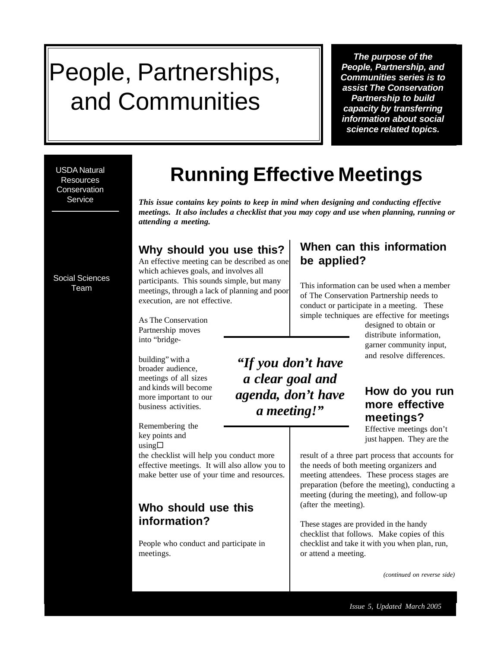# People, Partnerships, and Communities

*The purpose of the People, Partnership, and Communities series is to assist The Conservation Partnership to build capacity by transferring information about social science related topics.*

USDA Natural **Resources Conservation** Service

## **Running Effective Meetings**

*This issue contains key points to keep in mind when designing and conducting effective meetings. It also includes a checklist that you may copy and use when planning, running or attending a meeting.*

> *"If you don't have a clear goal and agenda, don't have a meeting!"*

## **Why should you use this?**

An effective meeting can be described as one which achieves goals, and involves all participants. This sounds simple, but many meetings, through a lack of planning and poor execution, are not effective.

As The Conservation Partnership moves

into "bridge-

building" with a broader audience, meetings of all sizes and kinds will become more important to our business activities.

Remembering the key points and  $using  $\Box$$ 

the checklist will help you conduct more effective meetings. It will also allow you to make better use of your time and resources.

## **Who should use this information?**

People who conduct and participate in meetings.

## **When can this information be applied?**

This information can be used when a member of The Conservation Partnership needs to conduct or participate in a meeting. These simple techniques are effective for meetings

designed to obtain or distribute information, garner community input, and resolve differences.

### **How do you run more effective meetings?**

Effective meetings don't just happen. They are the

result of a three part process that accounts for the needs of both meeting organizers and meeting attendees. These process stages are preparation (before the meeting), conducting a meeting (during the meeting), and follow-up (after the meeting).

These stages are provided in the handy checklist that follows. Make copies of this checklist and take it with you when plan, run, or attend a meeting.

*(continued on reverse side)*

Social Sciences Team